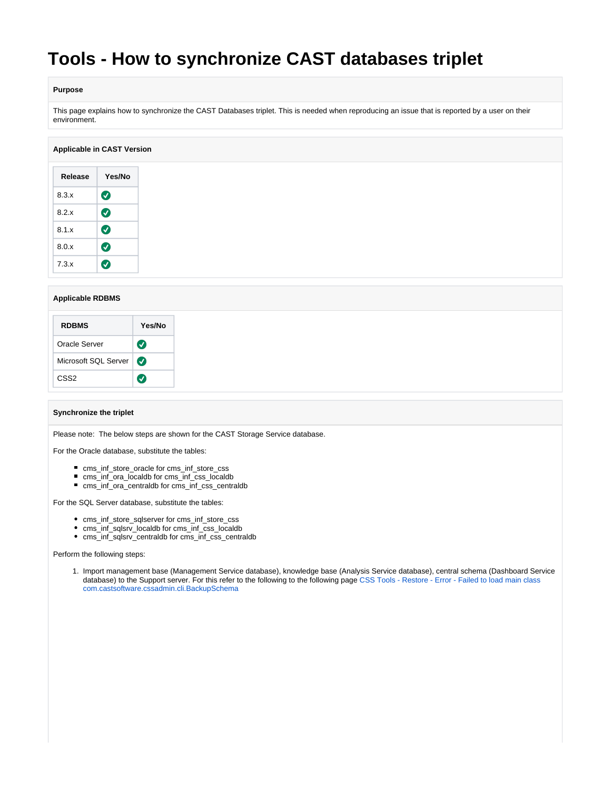# **Tools - How to synchronize CAST databases triplet**

## **Purpose**

This page explains how to synchronize the CAST Databases triplet. This is needed when reproducing an issue that is reported by a user on their environment.

#### **Applicable in CAST Version**

| Release | Yes/No                |
|---------|-----------------------|
| 8.3.x   | $\boldsymbol{\sigma}$ |
| 8.2 x   | $\boldsymbol{\sigma}$ |
| 8.1x    | $\boldsymbol{\sigma}$ |
| 8.0.x   | $\boldsymbol{\sigma}$ |
| 7.3x    | ✓                     |

## **Applicable RDBMS**

| <b>RDBMS</b>         | Yes/No                |
|----------------------|-----------------------|
| Oracle Server        | Ø                     |
| Microsoft SQL Server | $\boldsymbol{\omega}$ |
| CSS <sub>2</sub>     |                       |

#### **Synchronize the triplet**

Please note: The below steps are shown for the CAST Storage Service database.

For the Oracle database, substitute the tables:

- cms\_inf\_store\_oracle for cms\_inf\_store\_css
- cms\_inf\_ora\_localdb for cms\_inf\_css\_localdb
- cms\_inf\_ora\_centraldb for cms\_inf\_css\_centraldb

For the SQL Server database, substitute the tables:

- cms\_inf\_store\_sqlserver for cms\_inf\_store\_css
- cms\_inf\_sqlsrv\_localdb for cms\_inf\_css\_localdb
- cms\_inf\_sqlsrv\_centraldb for cms\_inf\_css\_centraldb

Perform the following steps:

1. Import management base (Management Service database), knowledge base (Analysis Service database), central schema (Dashboard Service database) to the Support server. For this refer to the following to the following page [CSS Tools - Restore - Error - Failed to load main class](https://doc.castsoftware.com/display/TG/CSS+Tools+-+Restore+-+Error+-+Failed+to+load+main+class+com.castsoftware.cssadmin.cli.BackupSchema)  [com.castsoftware.cssadmin.cli.BackupSchema](https://doc.castsoftware.com/display/TG/CSS+Tools+-+Restore+-+Error+-+Failed+to+load+main+class+com.castsoftware.cssadmin.cli.BackupSchema)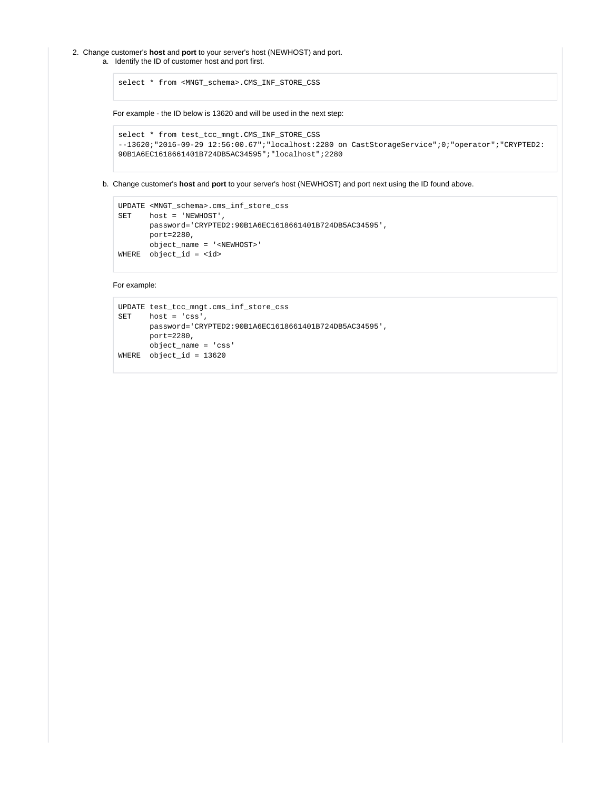2. Change customer's **host** and **port** to your server's host (NEWHOST) and port. a. Identify the ID of customer host and port first.

select \* from <MNGT\_schema>.CMS\_INF\_STORE\_CSS

For example - the ID below is 13620 and will be used in the next step:

```
select * from test_tcc_mngt.CMS_INF_STORE_CSS
--13620;"2016-09-29 12:56:00.67";"localhost:2280 on CastStorageService";0;"operator";"CRYPTED2:
90B1A6EC1618661401B724DB5AC34595";"localhost";2280
```
b. Change customer's **host** and **port** to your server's host (NEWHOST) and port next using the ID found above.

```
UPDATE <MNGT_schema>.cms_inf_store_css 
SET host = 'NEWHOST', 
       password='CRYPTED2:90B1A6EC1618661401B724DB5AC34595', 
       port=2280,
       object_name = '<NEWHOST>'
WHERE object_id = <id>
```
For example:

```
UPDATE test_tcc_mngt.cms_inf_store_css
SET host = 'css',
       password='CRYPTED2:90B1A6EC1618661401B724DB5AC34595',
       port=2280,
       object_name = 'css'
WHERE object_id = 13620
```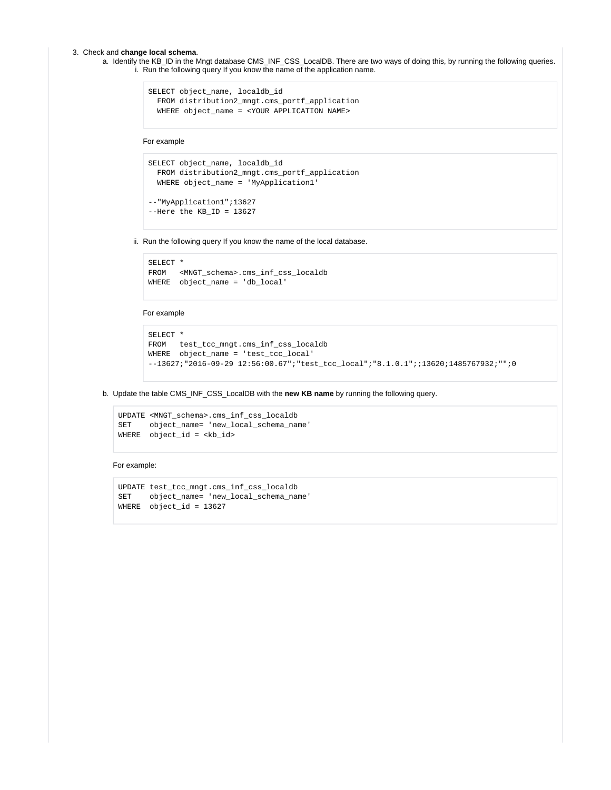#### 3. Check and **change local schema**.

a. Identify the KB\_ID in the Mngt database CMS\_INF\_CSS\_LocalDB. There are two ways of doing this, by running the following queries. i. Run the following query If you know the name of the application name.

```
SELECT object_name, localdb_id
   FROM distribution2_mngt.cms_portf_application 
   WHERE object_name = <YOUR APPLICATION NAME>
```
#### For example

```
SELECT object_name, localdb_id
  FROM distribution2_mngt.cms_portf_application 
  WHERE object_name = 'MyApplication1'
--"MyApplication1";13627
--Here the KB_ID = 13627
```
ii. Run the following query If you know the name of the local database.

```
SELECT * 
FROM <MNGT_schema>.cms_inf_css_localdb 
WHERE object_name = 'db_local'
```
#### For example

```
SELECT *
FROM test_tcc_mngt.cms_inf_css_localdb
WHERE object_name = 'test_tcc_local'
--13627;"2016-09-29 12:56:00.67";"test_tcc_local";"8.1.0.1";;13620;1485767932;"";0
```
b. Update the table CMS\_INF\_CSS\_LocalDB with the **new KB name** by running the following query.

```
UPDATE <MNGT_schema>.cms_inf_css_localdb 
SET object_name= 'new_local_schema_name' 
WHERE object_id = <kb_id>
```
#### For example:

```
UPDATE test_tcc_mngt.cms_inf_css_localdb
SET object_name= 'new_local_schema_name'
WHERE object_id = 13627
```